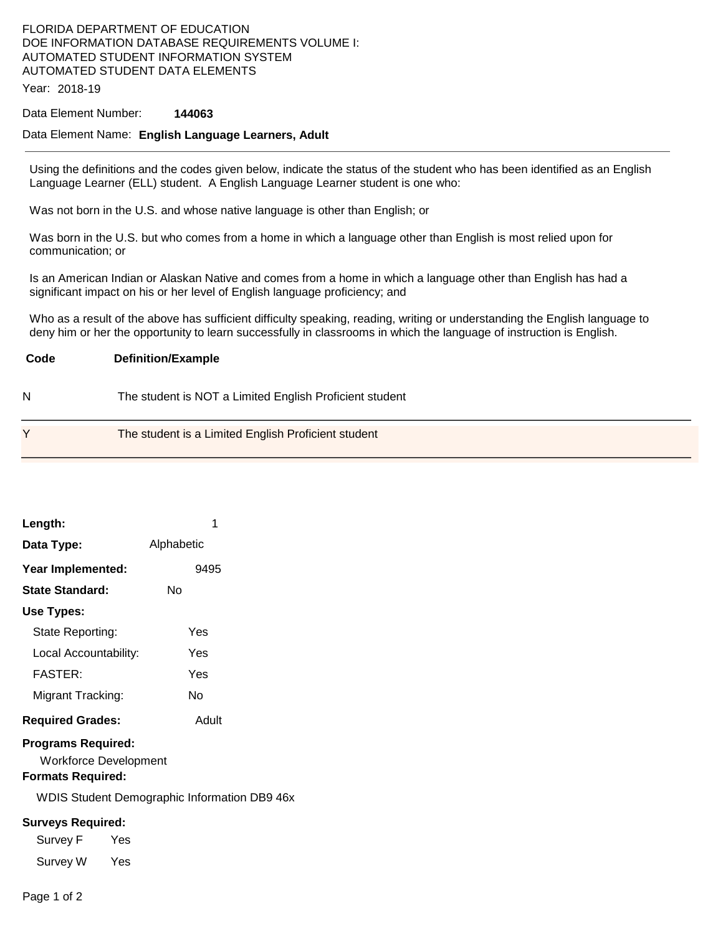## FLORIDA DEPARTMENT OF EDUCATION DOE INFORMATION DATABASE REQUIREMENTS VOLUME I: AUTOMATED STUDENT INFORMATION SYSTEM AUTOMATED STUDENT DATA ELEMENTS

Year: 2018-19

## Data Element Number: **144063**

#### Data Element Name: **English Language Learners, Adult**

Using the definitions and the codes given below, indicate the status of the student who has been identified as an English Language Learner (ELL) student. A English Language Learner student is one who:

Was not born in the U.S. and whose native language is other than English; or

Was born in the U.S. but who comes from a home in which a language other than English is most relied upon for communication; or

Is an American Indian or Alaskan Native and comes from a home in which a language other than English has had a significant impact on his or her level of English language proficiency; and

Who as a result of the above has sufficient difficulty speaking, reading, writing or understanding the English language to deny him or her the opportunity to learn successfully in classrooms in which the language of instruction is English.

| Code | <b>Definition/Example</b>                               |
|------|---------------------------------------------------------|
|      | The student is NOT a Limited English Proficient student |

| The student is a Limited English Proficient student |
|-----------------------------------------------------|
|                                                     |

| Length:                                                                               | 1                                                   |  |  |  |  |
|---------------------------------------------------------------------------------------|-----------------------------------------------------|--|--|--|--|
| Data Type:                                                                            | Alphabetic                                          |  |  |  |  |
| Year Implemented:                                                                     | 9495                                                |  |  |  |  |
| State Standard:                                                                       | Nο                                                  |  |  |  |  |
| Use Types:                                                                            |                                                     |  |  |  |  |
| State Reporting:                                                                      | Yes                                                 |  |  |  |  |
| Local Accountability:                                                                 | Yes                                                 |  |  |  |  |
| <b>FASTER:</b>                                                                        | Yes                                                 |  |  |  |  |
| Migrant Tracking:                                                                     | N٥                                                  |  |  |  |  |
| <b>Required Grades:</b>                                                               | Adult                                               |  |  |  |  |
| <b>Programs Required:</b><br><b>Workforce Development</b><br><b>Formats Required:</b> |                                                     |  |  |  |  |
|                                                                                       | <b>WDIS Student Demographic Information DB9 46x</b> |  |  |  |  |
| <b>Surveys Required:</b>                                                              |                                                     |  |  |  |  |
| Survey F<br><b>Parage Yes</b>                                                         |                                                     |  |  |  |  |
| Survey W Yes                                                                          |                                                     |  |  |  |  |